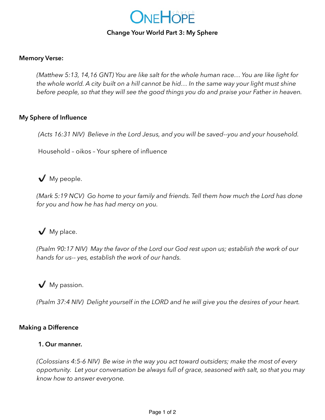

### **Change Your World Part 3: My Sphere**

### **Memory Verse:**

*(Matthew 5:13, 14,16 GNT) You are like salt for the whole human race… You are like light for the whole world. A city built on a hill cannot be hid… In the same way your light must shine before people, so that they will see the good things you do and praise your Father in heaven.* 

### **My Sphere of Influence**

*(Acts 16:31 NIV) Believe in the Lord Jesus, and you will be saved--you and your household.* 

Household – oikos – Your sphere of influence

✔️ My people.

*(Mark 5:19 NCV) Go home to your family and friends. Tell them how much the Lord has done for you and how he has had mercy on you.* 

# ✔️ My place.

*(Psalm 90:17 NIV) May the favor of the Lord our God rest upon us; establish the work of our hands for us-- yes, establish the work of our hands.* 

✔️ My passion.

*(Psalm 37:4 NIV) Delight yourself in the LORD and he will give you the desires of your heart.* 

## **Making a Difference**

## **1. Our manner.**

*(Colossians 4:5-6 NIV) Be wise in the way you act toward outsiders; make the most of every opportunity. Let your conversation be always full of grace, seasoned with salt, so that you may know how to answer everyone.*